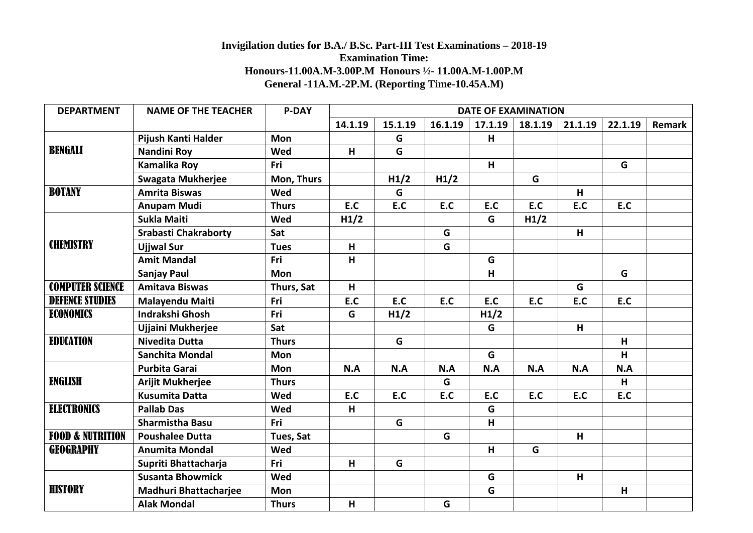## **Invigilation duties for B.A./ B.Sc. Part-III Test Examinations – 2018-19 Examination Time: Honours-11.00A.M-3.00P.M Honours ½- 11.00A.M-1.00P.M General -11A.M.-2P.M. (Reporting Time-10.45A.M)**

| <b>DEPARTMENT</b>           | <b>NAME OF THE TEACHER</b>   | <b>P-DAY</b> | <b>DATE OF EXAMINATION</b> |         |         |                         |         |         |         |        |
|-----------------------------|------------------------------|--------------|----------------------------|---------|---------|-------------------------|---------|---------|---------|--------|
|                             |                              |              | 14.1.19                    | 15.1.19 | 16.1.19 | 17.1.19                 | 18.1.19 | 21.1.19 | 22.1.19 | Remark |
| <b>BENGALI</b>              | Pijush Kanti Halder          | <b>Mon</b>   |                            | G       |         | н                       |         |         |         |        |
|                             | <b>Nandini Roy</b>           | Wed          | H                          | G       |         |                         |         |         |         |        |
|                             | <b>Kamalika Roy</b>          | Fri          |                            |         |         | H                       |         |         | G       |        |
|                             | <b>Swagata Mukherjee</b>     | Mon, Thurs   |                            | H1/2    | H1/2    |                         | G       |         |         |        |
| <b>BOTANY</b>               | <b>Amrita Biswas</b>         | Wed          |                            | G       |         |                         |         | H       |         |        |
|                             | <b>Anupam Mudi</b>           | <b>Thurs</b> | E.C                        | E.C     | E.C     | E.C                     | E.C     | E.C     | E.C     |        |
| <b>CHEMISTRY</b>            | <b>Sukla Maiti</b>           | Wed          | H1/2                       |         |         | G                       | H1/2    |         |         |        |
|                             | <b>Srabasti Chakraborty</b>  | Sat          |                            |         | G       |                         |         | H       |         |        |
|                             | <b>Ujiwal Sur</b>            | <b>Tues</b>  | H                          |         | G       |                         |         |         |         |        |
|                             | <b>Amit Mandal</b>           | Fri          | H                          |         |         | G                       |         |         |         |        |
|                             | Sanjay Paul                  | Mon          |                            |         |         | $\overline{\mathsf{H}}$ |         |         | G       |        |
| <b>COMPUTER SCIENCE</b>     | <b>Amitava Biswas</b>        | Thurs, Sat   | H                          |         |         |                         |         | G       |         |        |
| <b>DEFENCE STUDIES</b>      | Malayendu Maiti              | Fri          | E.C                        | E.C     | E.C     | E.C                     | E.C     | E.C     | E.C     |        |
| ECONOMICS                   | <b>Indrakshi Ghosh</b>       | Fri          | G                          | H1/2    |         | H1/2                    |         |         |         |        |
|                             | Ujjaini Mukherjee            | Sat          |                            |         |         | G                       |         | H       |         |        |
| <b>EDUCATION</b>            | <b>Nivedita Dutta</b>        | <b>Thurs</b> |                            | G       |         |                         |         |         | H       |        |
|                             | <b>Sanchita Mondal</b>       | <b>Mon</b>   |                            |         |         | G                       |         |         | H       |        |
| <b>ENGLISH</b>              | <b>Purbita Garai</b>         | <b>Mon</b>   | N.A                        | N.A     | N.A     | N.A                     | N.A     | N.A     | N.A     |        |
|                             | <b>Arijit Mukherjee</b>      | <b>Thurs</b> |                            |         | G       |                         |         |         | H       |        |
|                             | <b>Kusumita Datta</b>        | Wed          | E.C                        | E.C     | E.C     | E.C                     | E.C     | E.C     | E.C     |        |
| <b>ELECTRONICS</b>          | <b>Pallab Das</b>            | Wed          | H                          |         |         | G                       |         |         |         |        |
|                             | <b>Sharmistha Basu</b>       | Fri          |                            | G       |         | н                       |         |         |         |        |
| <b>FOOD &amp; NUTRITION</b> | <b>Poushalee Dutta</b>       | Tues, Sat    |                            |         | G       |                         |         | H       |         |        |
| <b>GEOGRAPHY</b>            | <b>Anumita Mondal</b>        | Wed          |                            |         |         | н                       | G       |         |         |        |
|                             | Supriti Bhattacharja         | Fri          | H                          | G       |         |                         |         |         |         |        |
| <b>HISTORY</b>              | <b>Susanta Bhowmick</b>      | Wed          |                            |         |         | G                       |         | H       |         |        |
|                             | <b>Madhuri Bhattacharjee</b> | Mon          |                            |         |         | G                       |         |         | H       |        |
|                             | <b>Alak Mondal</b>           | <b>Thurs</b> | H                          |         | G       |                         |         |         |         |        |